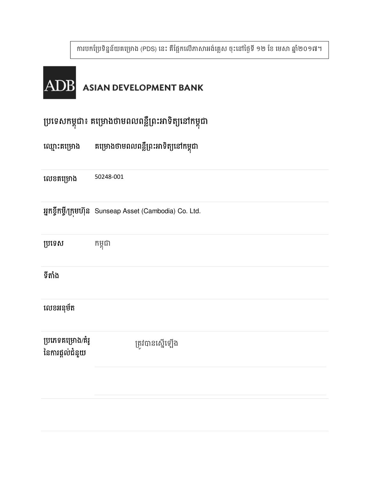ការបកប្រែទិន្នន័យគម្រោង (PDS) នេះ គឺផ្អែកលើភាសាអង់គ្លេស ចុះនៅថ្ងៃទី ១២ ខែ មេសា ឆ្នាំ២០១៧។



# ប្រទេសកម្ពុជា៖ គម្រោងចាមពលពន្លព្រះអាទត្យនោកម្ពុជា

ខគង 50248-001

អ្នកខ្ចីកម្ចី/ក្រុមហ៊ុន Sunseap Asset (Cambodia) Co. Ltd.

**ប្រទេស** កម្ពុជា

### ទីតាំង

### លេខអនុម័ត

| ប្រភេទគម្រោង/គំរូ<br>នៃការផ្តល់ជំនួយ | ត្រូវបានស្នើឡើង |
|--------------------------------------|-----------------|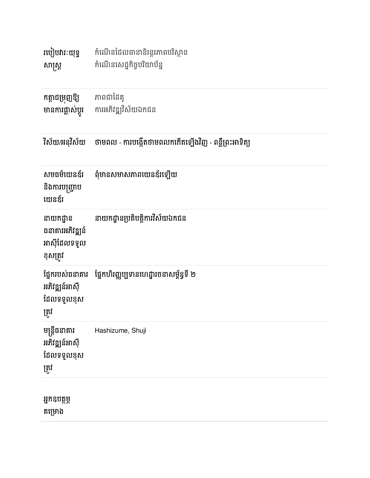| របៀបវារៈយុទ្ធ<br>សាស្ត្រ                                 | កំណើនដែលធានានិរន្តរភាពបរិស្ថាន<br>កំណើនសេដ្ឋកិច្ចបរិយាប័ន្ន |
|----------------------------------------------------------|-------------------------------------------------------------|
| កត្តាជម្រុញឱ្យ<br>មានការផ្លាស់ប្តូរ                      | ភាពជាដៃគូ<br>ការអភិវឌ្ឍវិស័យឯកជន                            |
| វិស័យ/អនុវិស័យ                                           | ថាមពល - ការបង្កើតថាមពលកកើតឡើងវិញ - ពន្លឺព្រះអាទិត្យ         |
| សមធម៌យេនឌ័រ<br>និងការបញ្ជ្រាប<br>យេនឌ័រ                  | ពុំមានសមាសភាពយេនឌ័រឡើយ                                      |
| នាយកដ្ឋាន<br>ធនាគារអភិវឌ្ឍន៍<br>អាស៊ីដែលទទួល<br>ខុសត្រូវ | នាយកដ្ឋានប្រតិបត្តិការវិស័យឯកជន                             |
| ផ្នែករបស់ធនាគារ<br>អភិវឌ្ឍន៍អាស៊ី<br>ដែលទទួលខុស<br>ត្រូវ | ផ្នែកហិរញ្ញប្បទានហេដ្ឋារចនាសម្ព័ន្ធទី ២                     |
| មន្ត្រីធនាគារ<br>អភិវឌ្ឍន៍អាស៊ី<br>ដែលទទួលខុស<br>ត្រូវ   | Hashizume, Shuji                                            |
| អ្នកឧបត្ថម្ភ<br>គម្រោង                                   |                                                             |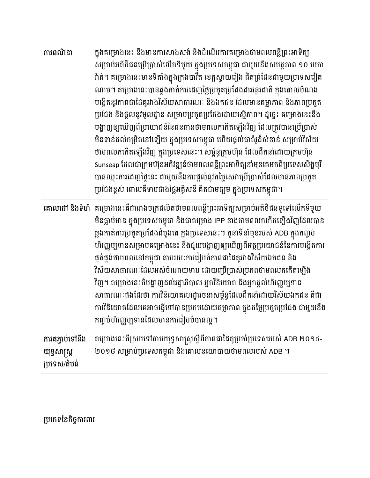| ការពណ៌នា                                        | ក្នុងគម្រោងនេះ នឹងមានការសាងសង់ និងដំណើរការគម្រោងថាមពលពន្លឺព្រះអាទិត្យ<br>សម្រាប់អតិថិជនប្រើប្រាស់លើកទីមួយ ក្នុងប្រទេសកម្ពុជា ជាមួយនឹងសមត្ថភាព ១០ មេកា<br>វ៉ាត់។ គម្រោងនេះមានទីតាំងក្នុងក្រុងបាវីត ខេត្តស្វាយរៀង ជិតព្រំដែនជាមួយប្រទេសវៀត<br>ណាម។ គម្រោងនេះបានឆ្លងកាត់ការដេញថ្លៃប្រកួតប្រជែងជាអន្តរជាតិ ក្នុងគោលបំណង<br>បង្កើតនូវភាពជាដៃគូរវាងវិស័យសាធារណៈ និងឯកជន ដែលមានតម្លាភាព និងភាពប្រកួត<br>ប្រជែង និងផ្តល់នូវមូលដ្ឋាន សម្រាប់ប្រកួតប្រជែងដោយស្មើភាព។ ដូច្នេះ គម្រោងនេះនឹង<br>បង្ហាញឲ្យឃើញពីប្រយោជន៍នៃធនធានថាមពលកកើតឡើងវិញ ដែលត្រូវបានប្រើប្រាស់<br>មិនទាន់ដល់កម្រិតនៅឡើយ ក្នុងប្រទេសកម្ពុជា ហើយផ្តល់ជាគំរូដ៏សំខាន់ សម្រាប់វិស័យ<br>ថាមពលកកើតឡើងវិញ ក្នុងប្រទេសនេះ។ សម្ព័ន្ធក្រុមហ៊ុន ដែលដឹកនាំដោយក្រុមហ៊ុន<br>Sunseap ដែលជាក្រុមហ៊ុនអភិវឌ្ឍន៍ថាមពលពន្លឺព្រះអាទិត្យនាំមុខគេមកពីប្រទេសសឹង្ហបុរី<br>បានឈ្នះការដេញថ្លៃនេះ ជាមួយនឹងការផ្តល់នូវតម្លៃសេវាប្រើប្រាស់ដែលមានភាពប្រកួត<br>ប្រជែងខ្ពស់ ពោលគឺទាបជាងថ្លៃអគ្គិសនី គិតជាមធ្យម ក្នុងប្រទេសកម្ពុជា។ |
|-------------------------------------------------|---------------------------------------------------------------------------------------------------------------------------------------------------------------------------------------------------------------------------------------------------------------------------------------------------------------------------------------------------------------------------------------------------------------------------------------------------------------------------------------------------------------------------------------------------------------------------------------------------------------------------------------------------------------------------------------------------------------------------------------------------------------------------------------------------------------------------------------------------------------------------------------------------------------------------------------------------------|
|                                                 | <b>គោលដៅ និងទំហំ</b> គម្រោងនេះគឺជារោងចក្រផលិតថាមពលពន្លឺព្រះអាទិត្យសម្រាប់អតិថិជនទូទៅលើកទីមួយ<br>មិនធ្លាប់មាន ក្នុងប្រទេសកម្ពុជា និងជាគម្រោង IPP ខាងថាមពលកកើតឡើងវិញដែលបាន<br>ឆ្លងកាត់ការប្រកួតប្រជែងដំបូងគេ ក្នុងប្រទេសនេះ។ តួនាទីនាំមុខរបស់ ADB ក្នុងកញ្ចប់<br>ហិរញ្ញប្បទានសម្រាប់គម្រោងនេះ នឹងជួយបង្ហាញឲ្យឃើញពីអត្ថប្រយោជន៍នៃការបង្កើតការ<br>ផ្គត់ផ្គង់ថាមពលនៅកម្ពុជា តាមរយៈការរៀបចំភាពជាដៃគូរវាងវិស័យឯកជន និង<br>វិស័យសាធារណៈដែលអស់ចំណាយទាប ដោយប្រើប្រាស់ប្រភពថាមពលកកើតឡើង<br>វិញ។ គម្រោងនេះក៏បង្ហាញដល់រដ្ឋាភិបាល អ្នកវិនិយោគ និងអ្នកផ្តល់ហិរញ្ញប្បទាន<br>សាធារណៈផងដែរថា ការវិនិយោគហេដ្ឋារចនាសម្ព័ន្ធដែលដឹកនាំដោយវិស័យឯកជន គឺជា<br>ការវិនិយោគដែលគេអាចធ្វើទៅបានប្រកបដោយតម្លាភាព ក្នុងតម្លៃប្រកួតប្រជែង ជាមួយនឹង<br>កព្ទាប់ហិរញ្ញប្បទានដែលមានការរៀបចំបានល្អ។                                                                                                                                                                                            |
| ការតភ្ជាប់ទៅនឹង<br>យុទ្ធសាស្ត្រ<br>ប្រទេស/តំបន់ | គម្រោងនេះគឺស្របទៅតាមយុទ្ធសាស្ត្រស្តីពីភាពជាដៃគូប្រចាំប្រទេសរបស់ ADB ២០១៤-<br>២០១៨ សម្រាប់ប្រទេសកម្ពុជា និងគោលនយោបាយថាមពលរបស់ ADB ។                                                                                                                                                                                                                                                                                                                                                                                                                                                                                                                                                                                                                                                                                                                                                                                                                      |

# ប្រភេទនៃកិច្ចការពារ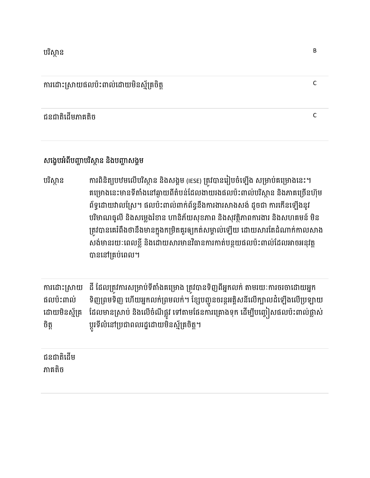### ជនជាតិដើមភាគតិច ការប្រើមហាត់បានប្រើប្រាស់ និង បានប្រើប្រាស់ និង បានប្រើប្រាស់ និង បានប្រើប្រាស់ និង បានប្រាស់ និង បានប្រើប្រាស<br>ការប្រើប្រាស់ និង បានប្រើប្រាស់ និង បានប្រើប្រាស់ និង បានប្រើប្រាស់ និង បានប្រើប្រាស់ និង បានប្រើប្រាស់ និង បា

### សង្ខេបអំពីបញ្ហាបរិស្ថាន និងបញ្ហាសង្គម

បរិស្ថាន ការពិនិត្យបឋមលើបរិស្ថាន និងសង្គម (IESE) ត្រូវបានរៀបចំឡើង សម្រាប់គម្រោងនេះ។ គម្រោងនេះមានទីតាំងនៅឆ្ងាយពីតំបន់ដែលងាយរងផលប៉ះពាល់បរិស្ថាន និងភាគច្រើនហ៊ុម ពទ្ធដោយរាលស្រេ។ ផលបះពាលពាកពន្ធនងការងារសាងសង់ ដូចជា ការកេនឡេងនូរ បរិមាណធូលី និងសម្លេងរំខាន ហានិភ័យសុខភាព និងសុវត្ថិភាពការងារ និងសហគមន៍ មិន ត្រូវបានគេរពងថានងមានក្នុងកម្រត់គួរឲ្យកតសម្គាលឡេយ ដោយសារតេដណាក់កាលសាង សង់មានរយៈពេលខ្លី និងដោយសារមានវិធានការកាត់បន្ថយផលប៉ះពាល់ដែលអាចអនុវត្ត បាននៅគ្រប់ពេល។

ការដោះស្រាយ ផលប៉ះពាល់ ដោយមិនស្ម័គ្រ ចិត្ត ដី ដែលត្រូវការសម្រាប់ទីតាំងគម្រោង ត្រូវបានទិញពីអ្នកលក់ តាមរយៈការចរចាដោយអ្នក ទិញព្រមទិញ ហើយអ្នកលក់ព្រមលក់។ ខ្សែបញ្ជូនចរន្តអគ្គិសនីលើក្បាលដំឡើងលើប្រឡាយ ដែលមានស្រាប នងលេចណន្លូវ ទោតាមធេនការគ្រោងទុក ដេម្បីបញ្ចៀសធលបះពាលធ្លាស ប្តូរទលនោប្រជាពលរដ្ឋដោយមនស្មគ្រចត្ត។

ជនជាតិដេម ភាគតិក